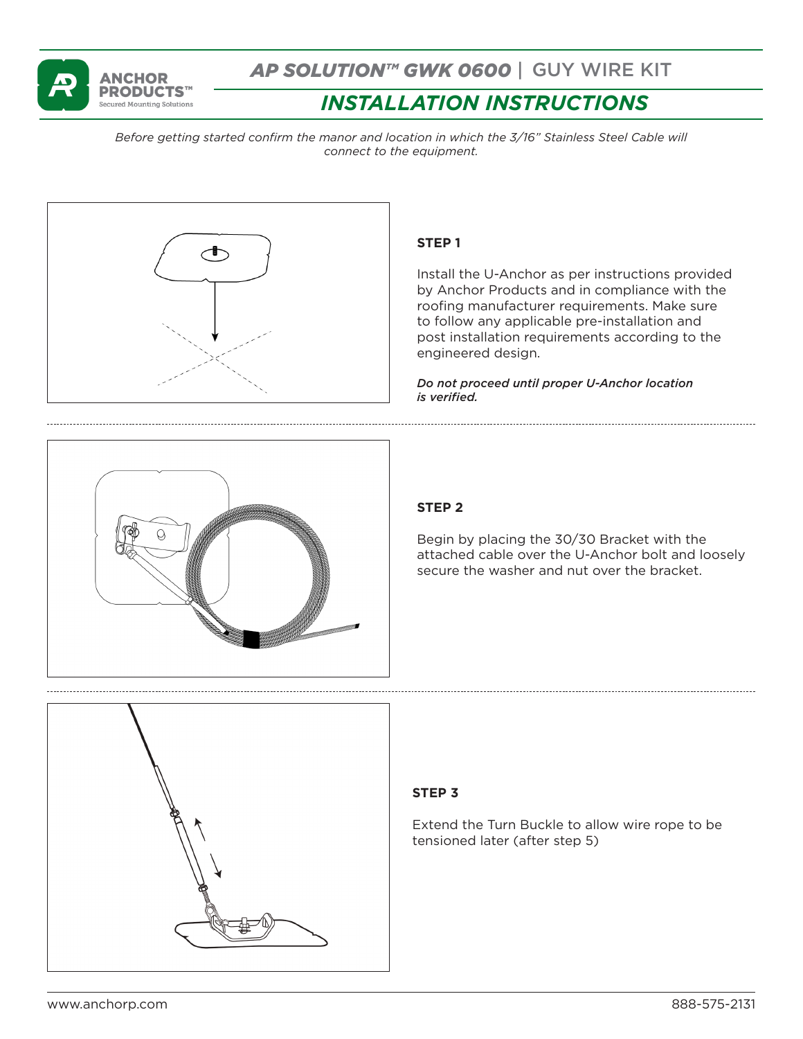

# *AP SOLUTION™ GWK 0600* | GUY WIRE KIT

# *INSTALLATION INSTRUCTIONS*

*Before getting started confirm the manor and location in which the 3/16" Stainless Steel Cable will connect to the equipment.* 



## **STEP 1**

Install the U-Anchor as per instructions provided by Anchor Products and in compliance with the roofing manufacturer requirements. Make sure to follow any applicable pre-installation and post installation requirements according to the engineered design.

*Do not proceed until proper U-Anchor location is verified.*



## **STEP 2**

Begin by placing the 30/30 Bracket with the attached cable over the U-Anchor bolt and loosely secure the washer and nut over the bracket.



## **STEP 3**

Extend the Turn Buckle to allow wire rope to be tensioned later (after step 5)